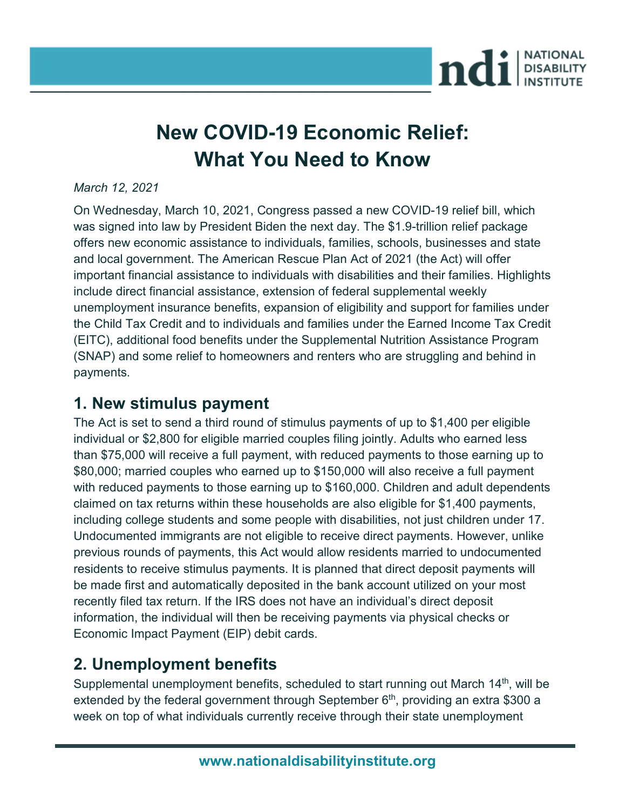

# **New COVID-19 Economic Relief: What You Need to Know**

#### *March 12, 2021*

On Wednesday, March 10, 2021, Congress passed a new COVID-19 relief bill, which was signed into law by President Biden the next day. The \$1.9-trillion relief package offers new economic assistance to individuals, families, schools, businesses and state and local government. The American Rescue Plan Act of 2021 (the Act) will offer important financial assistance to individuals with disabilities and their families. Highlights include direct financial assistance, extension of federal supplemental weekly unemployment insurance benefits, expansion of eligibility and support for families under the Child Tax Credit and to individuals and families under the Earned Income Tax Credit (EITC), additional food benefits under the Supplemental Nutrition Assistance Program (SNAP) and some relief to homeowners and renters who are struggling and behind in payments.

#### **1. New stimulus payment**

The Act is set to send a third round of stimulus payments of up to \$1,400 per eligible individual or \$2,800 for eligible married couples filing jointly. Adults who earned less than \$75,000 will receive a full payment, with reduced payments to those earning up to \$80,000; married couples who earned up to \$150,000 will also receive a full payment with reduced payments to those earning up to \$160,000. Children and adult dependents claimed on tax returns within these households are also eligible for \$1,400 payments, including college students and some people with disabilities, not just children under 17. Undocumented immigrants are not eligible to receive direct payments. However, unlike previous rounds of payments, this Act would allow residents married to undocumented residents to receive stimulus payments. It is planned that direct deposit payments will be made first and automatically deposited in the bank account utilized on your most recently filed tax return. If the IRS does not have an individual's direct deposit information, the individual will then be receiving payments via physical checks or Economic Impact Payment (EIP) debit cards.

### **2. Unemployment benefits**

Supplemental unemployment benefits, scheduled to start running out March  $14<sup>th</sup>$ , will be extended by the federal government through September  $6<sup>th</sup>$ , providing an extra \$300 a week on top of what individuals currently receive through their state unemployment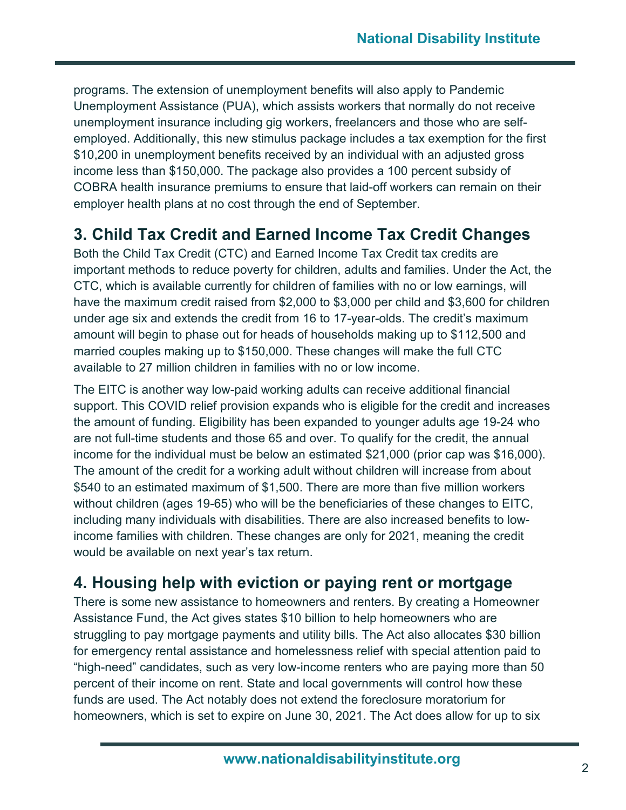programs. The extension of unemployment benefits will also apply to Pandemic Unemployment Assistance (PUA), which assists workers that normally do not receive unemployment insurance including gig workers, freelancers and those who are selfemployed. Additionally, this new stimulus package includes a tax exemption for the first \$10,200 in unemployment benefits received by an individual with an adjusted gross income less than \$150,000. The package also provides a 100 percent subsidy of COBRA health insurance premiums to ensure that laid-off workers can remain on their employer health plans at no cost through the end of September.

## **3. Child Tax Credit and Earned Income Tax Credit Changes**

Both the Child Tax Credit (CTC) and Earned Income Tax Credit tax credits are important methods to reduce poverty for children, adults and families. Under the Act, the CTC, which is available currently for children of families with no or low earnings, will have the maximum credit raised from \$2,000 to \$3,000 per child and \$3,600 for children under age six and extends the credit from 16 to 17-year-olds. The credit's maximum amount will begin to phase out for heads of households making up to \$112,500 and married couples making up to \$150,000. These changes will make the full CTC available to 27 million children in families with no or low income.

The EITC is another way low-paid working adults can receive additional financial support. This COVID relief provision expands who is eligible for the credit and increases the amount of funding. Eligibility has been expanded to younger adults age 19-24 who are not full-time students and those 65 and over. To qualify for the credit, the annual income for the individual must be below an estimated \$21,000 (prior cap was \$16,000). The amount of the credit for a working adult without children will increase from about \$540 to an estimated maximum of \$1,500. There are more than five million workers without children (ages 19-65) who will be the beneficiaries of these changes to EITC, including many individuals with disabilities. There are also increased benefits to lowincome families with children. These changes are only for 2021, meaning the credit would be available on next year's tax return.

# **4. Housing help with eviction or paying rent or mortgage**

There is some new assistance to homeowners and renters. By creating a Homeowner Assistance Fund, the Act gives states \$10 billion to help homeowners who are struggling to pay mortgage payments and utility bills. The Act also allocates \$30 billion for emergency rental assistance and homelessness relief with special attention paid to "high-need" candidates, such as very low-income renters who are paying more than 50 percent of their income on rent. State and local governments will control how these funds are used. The Act notably does not extend the foreclosure moratorium for homeowners, which is set to expire on June 30, 2021. The Act does allow for up to six